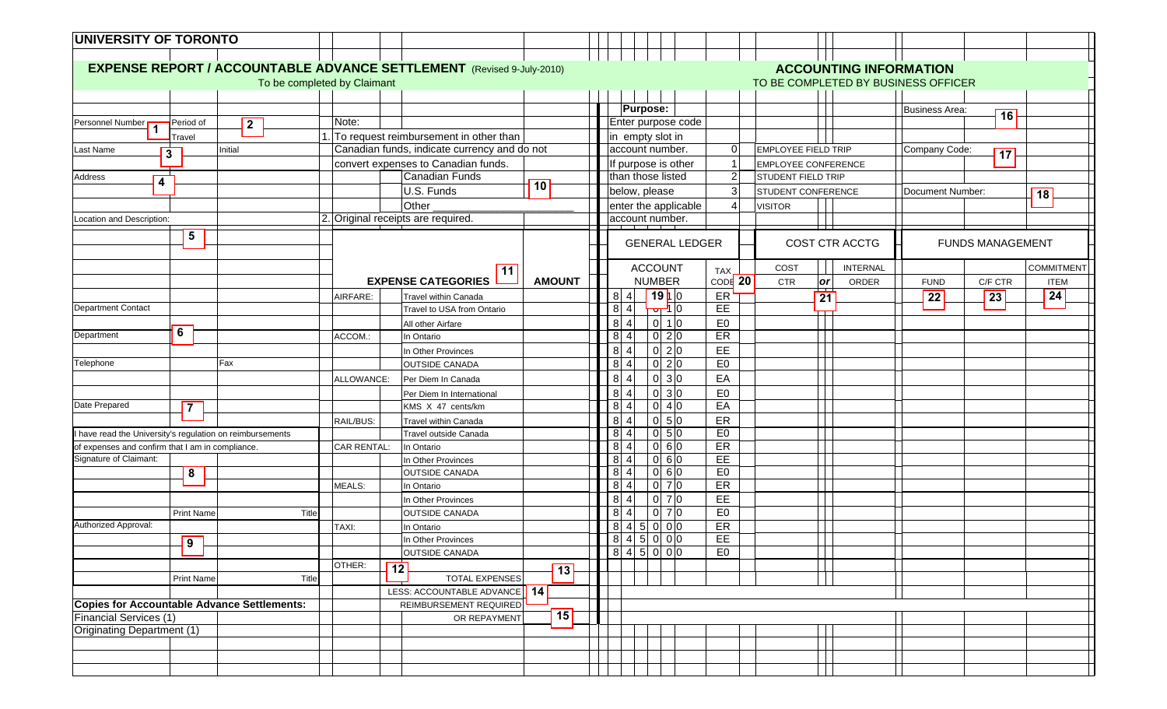| UNIVERSITY OF TORONTO                                   |                                                               |                                                                                                                                             |                                                                                                                |  |
|---------------------------------------------------------|---------------------------------------------------------------|---------------------------------------------------------------------------------------------------------------------------------------------|----------------------------------------------------------------------------------------------------------------|--|
|                                                         |                                                               |                                                                                                                                             |                                                                                                                |  |
|                                                         |                                                               | <b>EXPENSE REPORT / ACCOUNTABLE ADVANCE SETTLEMENT</b> (Revised 9-July-2010)<br><b>ACCOUNTING INFORMATION</b>                               |                                                                                                                |  |
|                                                         |                                                               | To be completed by Claimant                                                                                                                 | TO BE COMPLETED BY BUSINESS OFFICER                                                                            |  |
|                                                         |                                                               |                                                                                                                                             |                                                                                                                |  |
|                                                         |                                                               |                                                                                                                                             | <b>Purpose:</b><br><b>Business Area:</b><br>16                                                                 |  |
| Personnel Number<br>1                                   | Period of<br>$\overline{2}$                                   | Note:                                                                                                                                       | Enter purpose code                                                                                             |  |
|                                                         | Travel                                                        | . To request reimbursement in other than                                                                                                    | in empty slot in<br>account number.<br>$\Omega$<br><b>EMPLOYEE FIELD TRIP</b>                                  |  |
| Last Name                                               | Initial<br>$\overline{\mathbf{3}}$                            | Canadian funds, indicate currency and do not<br>convert expenses to Canadian funds.                                                         | Company Code:<br>$\overline{17}$                                                                               |  |
| Address                                                 |                                                               | <b>Canadian Funds</b>                                                                                                                       | If purpose is other<br><b>EMPLOYEE CONFERENCE</b><br>$\overline{2}$<br>than those listed<br>STUDENT FIELD TRIP |  |
| $\overline{4}$                                          |                                                               | 10<br>U.S. Funds                                                                                                                            | below, please<br>3<br>STUDENT CONFERENCE<br>Document Number:                                                   |  |
|                                                         |                                                               | Other                                                                                                                                       | 18<br>enter the applicable<br><b>VISITOR</b><br>4                                                              |  |
| Location and Description:                               |                                                               | 2. Original receipts are required.                                                                                                          | account number.                                                                                                |  |
|                                                         |                                                               |                                                                                                                                             |                                                                                                                |  |
|                                                         | $\overline{5}$                                                |                                                                                                                                             | <b>COST CTR ACCTG</b><br><b>FUNDS MANAGEMENT</b><br><b>GENERAL LEDGER</b>                                      |  |
|                                                         |                                                               | 11                                                                                                                                          | <b>ACCOUNT</b><br><b>COMMITMENT</b><br>COST<br><b>INTERNAL</b><br>TAX,                                         |  |
|                                                         |                                                               | <b>EXPENSE CATEGORIES</b><br><b>AMOUNT</b>                                                                                                  | CODE <sup>20</sup><br><b>NUMBER</b><br>or<br><b>CTR</b><br>C/F CTR<br>ORDER<br><b>FUND</b><br><b>ITEM</b>      |  |
|                                                         |                                                               | AIRFARE:<br>Travel within Canada                                                                                                            | 19 0<br>24<br>ER<br>8 4<br>$\overline{22}$<br> 23 <br>$\overline{21}$                                          |  |
| <b>Department Contact</b>                               |                                                               | Travel to USA from Ontario                                                                                                                  | <u>जर्मा</u> 0<br>EE<br>8 4                                                                                    |  |
|                                                         |                                                               | All other Airfare                                                                                                                           | E <sub>0</sub><br>$0 \mid 1 0$<br>8 <sup>1</sup>                                                               |  |
| Department                                              | $\overline{6}$                                                | ACCOM.:<br>In Ontario                                                                                                                       | ER<br>$0\overline{2}$<br>$8 \vert 4$                                                                           |  |
|                                                         |                                                               | In Other Provinces                                                                                                                          | $0\overline{2}$ $0$<br>EE<br>8 <sub>4</sub>                                                                    |  |
| Telephone                                               | Fax                                                           | <b>OUTSIDE CANADA</b>                                                                                                                       | E <sub>0</sub><br>$0\overline{2}$<br>8 4                                                                       |  |
|                                                         |                                                               | ALLOWANCE:<br>Per Diem In Canada                                                                                                            | 0 3 0<br>EA<br>8 <sup>1</sup>                                                                                  |  |
|                                                         |                                                               | Per Diem In International                                                                                                                   | $0 \vert 3 \vert 0$<br>E <sub>0</sub><br>$8 \mid 4$                                                            |  |
| Date Prepared                                           | $\overline{7}$                                                | KMS X 47 cents/km                                                                                                                           | EA<br>$0\vert 4\vert 0$<br>8 4                                                                                 |  |
|                                                         |                                                               | <b>Travel within Canada</b><br>RAIL/BUS:                                                                                                    | 0 5 0<br>ER<br>8 <sup>1</sup>                                                                                  |  |
| have read the University's regulation on reimbursements |                                                               | Travel outside Canada                                                                                                                       | E <sub>0</sub><br>$0 \overline{5}$<br>$8 \vert 4$                                                              |  |
|                                                         | of expenses and confirm that I am in compliance.              | In Ontario<br><b>CAR RENTAL:</b>                                                                                                            | 0 60<br>ER<br>8 4                                                                                              |  |
| Signature of Claimant:                                  |                                                               | In Other Provinces                                                                                                                          | EE<br>0 60<br>8 4<br>060<br>E <sub>0</sub><br>$8 \vert 4$                                                      |  |
|                                                         | 8                                                             | <b>OUTSIDE CANADA</b><br><b>MEALS:</b><br>In Ontario                                                                                        | $0 \overline{7}$ $0$<br>ER<br>8 <sup>1</sup>                                                                   |  |
|                                                         |                                                               | In Other Provinces                                                                                                                          | $0\overline{7}$ $0$<br>EE<br>8 4                                                                               |  |
|                                                         | <b>Print Name</b><br>Title                                    | <b>OUTSIDE CANADA</b>                                                                                                                       | $0\overline{7}$ $0$<br>E <sub>0</sub><br>$8 \mid 4$                                                            |  |
|                                                         |                                                               |                                                                                                                                             |                                                                                                                |  |
|                                                         |                                                               |                                                                                                                                             |                                                                                                                |  |
|                                                         |                                                               |                                                                                                                                             |                                                                                                                |  |
|                                                         |                                                               | OTHER:                                                                                                                                      |                                                                                                                |  |
|                                                         | Title<br><b>Print Name</b>                                    | <b>TOTAL EXPENSES</b>                                                                                                                       |                                                                                                                |  |
|                                                         |                                                               | 14 <br>LESS: ACCOUNTABLE ADVANCE                                                                                                            |                                                                                                                |  |
|                                                         |                                                               | REIMBURSEMENT REQUIRED                                                                                                                      |                                                                                                                |  |
|                                                         |                                                               |                                                                                                                                             |                                                                                                                |  |
| Originating Department (1)                              |                                                               |                                                                                                                                             |                                                                                                                |  |
|                                                         |                                                               |                                                                                                                                             |                                                                                                                |  |
|                                                         |                                                               |                                                                                                                                             |                                                                                                                |  |
| Authorized Approval:<br><b>Financial Services (1)</b>   | $\overline{9}$<br>Copies for Accountable Advance Settlements: | TAXI:<br>In Ontario<br>In Other Provinces<br><b>OUTSIDE CANADA</b><br>$\overline{12}$<br>$\overline{13}$<br>$\overline{15}$<br>OR REPAYMENT | 8 4 5 0 0 0<br>ER<br>EE<br>8 4 5 0 0 0<br>E <sub>0</sub><br>$8$ 4 5 0 0 0                                      |  |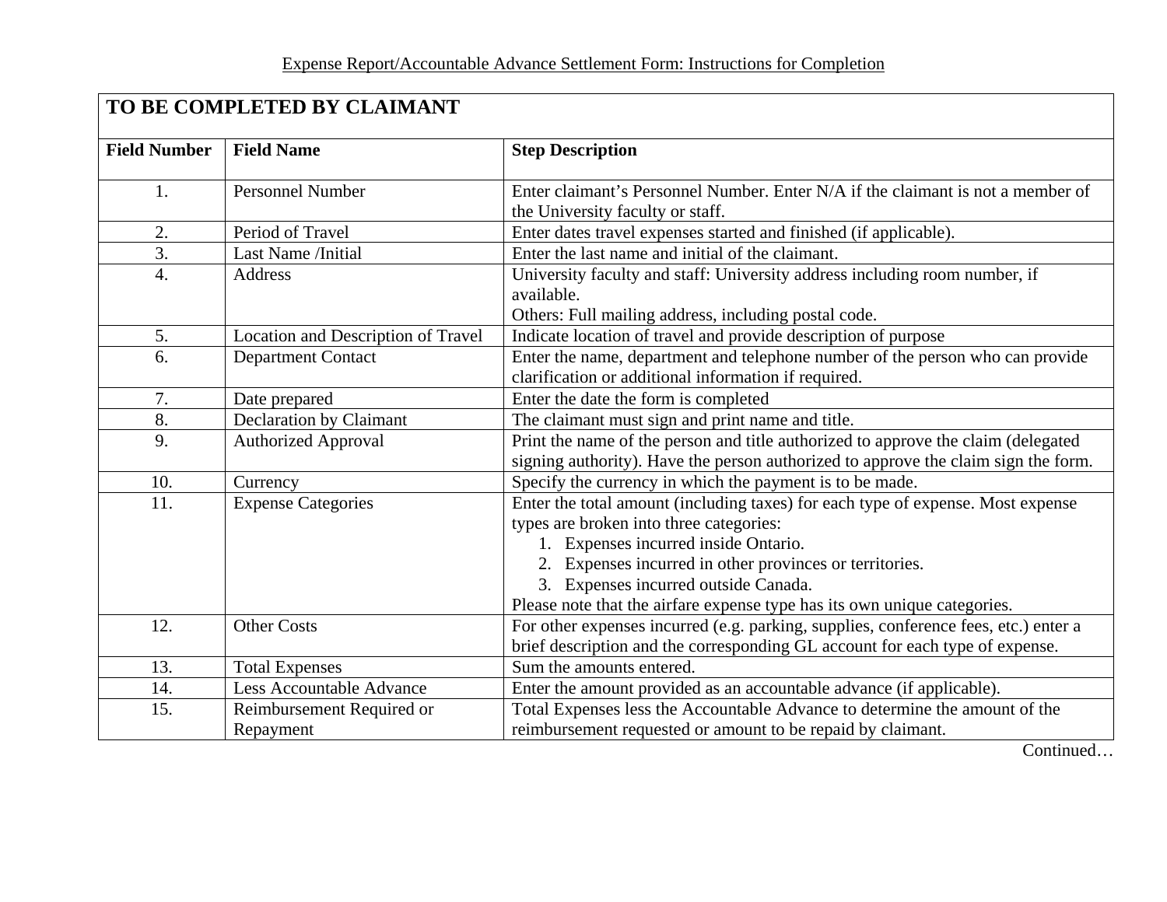| TO BE COMPLETED BY CLAIMANT |                                        |                                                                                                                                                                                                                                                                                                                                                   |  |  |
|-----------------------------|----------------------------------------|---------------------------------------------------------------------------------------------------------------------------------------------------------------------------------------------------------------------------------------------------------------------------------------------------------------------------------------------------|--|--|
| <b>Field Number</b>         | <b>Field Name</b>                      | <b>Step Description</b>                                                                                                                                                                                                                                                                                                                           |  |  |
| 1.                          | <b>Personnel Number</b>                | Enter claimant's Personnel Number. Enter N/A if the claimant is not a member of<br>the University faculty or staff.                                                                                                                                                                                                                               |  |  |
| 2.                          | Period of Travel                       | Enter dates travel expenses started and finished (if applicable).                                                                                                                                                                                                                                                                                 |  |  |
| 3.                          | Last Name /Initial                     | Enter the last name and initial of the claimant.                                                                                                                                                                                                                                                                                                  |  |  |
| 4.                          | Address                                | University faculty and staff: University address including room number, if<br>available.<br>Others: Full mailing address, including postal code.                                                                                                                                                                                                  |  |  |
| 5.                          | Location and Description of Travel     | Indicate location of travel and provide description of purpose                                                                                                                                                                                                                                                                                    |  |  |
| 6.                          | <b>Department Contact</b>              | Enter the name, department and telephone number of the person who can provide<br>clarification or additional information if required.                                                                                                                                                                                                             |  |  |
| 7.                          | Date prepared                          | Enter the date the form is completed                                                                                                                                                                                                                                                                                                              |  |  |
| 8.                          | Declaration by Claimant                | The claimant must sign and print name and title.                                                                                                                                                                                                                                                                                                  |  |  |
| 9.                          | <b>Authorized Approval</b>             | Print the name of the person and title authorized to approve the claim (delegated<br>signing authority). Have the person authorized to approve the claim sign the form.                                                                                                                                                                           |  |  |
| 10.                         | Currency                               | Specify the currency in which the payment is to be made.                                                                                                                                                                                                                                                                                          |  |  |
| 11.                         | <b>Expense Categories</b>              | Enter the total amount (including taxes) for each type of expense. Most expense<br>types are broken into three categories:<br>1. Expenses incurred inside Ontario.<br>2. Expenses incurred in other provinces or territories.<br>3. Expenses incurred outside Canada.<br>Please note that the airfare expense type has its own unique categories. |  |  |
| 12.                         | <b>Other Costs</b>                     | For other expenses incurred (e.g. parking, supplies, conference fees, etc.) enter a<br>brief description and the corresponding GL account for each type of expense.                                                                                                                                                                               |  |  |
| 13.                         | <b>Total Expenses</b>                  | Sum the amounts entered.                                                                                                                                                                                                                                                                                                                          |  |  |
| 14.                         | Less Accountable Advance               | Enter the amount provided as an accountable advance (if applicable).                                                                                                                                                                                                                                                                              |  |  |
| 15.                         | Reimbursement Required or<br>Repayment | Total Expenses less the Accountable Advance to determine the amount of the<br>reimbursement requested or amount to be repaid by claimant.                                                                                                                                                                                                         |  |  |

Continued…